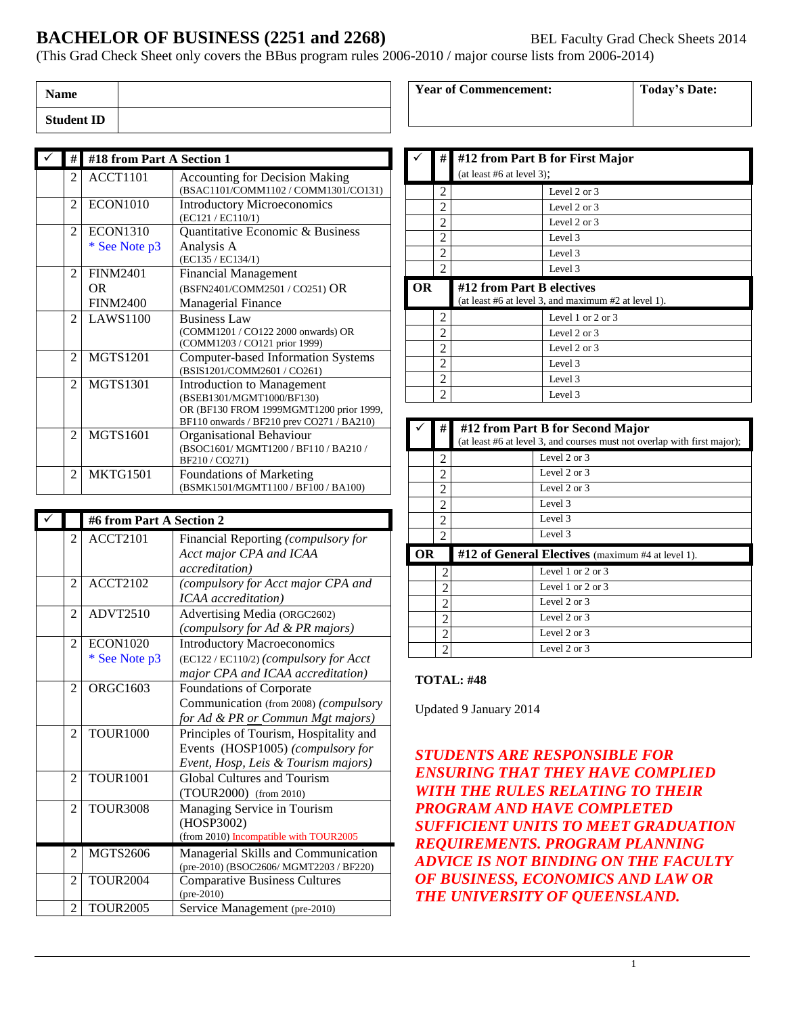# **BACHELOR OF BUSINESS (2251 and 2268)** BEL Faculty Grad Check Sheets 2014

(This Grad Check Sheet only covers the BBus program rules 2006-2010 / major course lists from 2006-2014)

| <b>Name</b>       |  |
|-------------------|--|
| <b>Student ID</b> |  |

| #              | #18 from Part A Section 1 |                                           |
|----------------|---------------------------|-------------------------------------------|
| 2              | ACCT1101                  | <b>Accounting for Decision Making</b>     |
|                |                           | (BSAC1101/COMM1102 / COMM1301/CO131)      |
| $\mathfrak{D}$ | <b>ECON1010</b>           | <b>Introductory Microeconomics</b>        |
|                |                           | (EC121 / EC110/1)                         |
| 2              | <b>ECON1310</b>           | Quantitative Economic & Business          |
|                | * See Note p3             | Analysis A                                |
|                |                           | (EC135 / EC134/1)                         |
| 2              | <b>FINM2401</b>           | <b>Financial Management</b>               |
|                | OR                        | (BSFN2401/COMM2501 / CO251) OR            |
|                | <b>FINM2400</b>           | <b>Managerial Finance</b>                 |
| 2              | <b>LAWS1100</b>           | <b>Business Law</b>                       |
|                |                           | (COMM1201 / CO122 2000 onwards) OR        |
|                |                           | (COMM1203 / CO121 prior 1999)             |
| $\mathfrak{D}$ | <b>MGTS1201</b>           | <b>Computer-based Information Systems</b> |
|                |                           | (BSIS1201/COMM2601 / CO261)               |
| 2              | <b>MGTS1301</b>           | <b>Introduction to Management</b>         |
|                |                           | (BSEB1301/MGMT1000/BF130)                 |
|                |                           | OR (BF130 FROM 1999MGMT1200 prior 1999,   |
|                |                           | BF110 onwards / BF210 prev CO271 / BA210) |
| 2              | <b>MGTS1601</b>           | Organisational Behaviour                  |
|                |                           | (BSOC1601/MGMT1200/BF110/BA210/           |
|                |                           | BF210/CO271)                              |
| 2              | <b>MKTG1501</b>           | <b>Foundations of Marketing</b>           |
|                |                           | (BSMK1501/MGMT1100 / BF100 / BA100)       |

|                | #6 from Part A Section 2 |                                         |
|----------------|--------------------------|-----------------------------------------|
| $\mathfrak{D}$ | <b>ACCT2101</b>          | Financial Reporting (compulsory for     |
|                |                          | Acct major CPA and ICAA                 |
|                |                          | <i>accreditation</i> )                  |
| $\mathfrak{D}$ | <b>ACCT2102</b>          | (compulsory for Acct major CPA and      |
|                |                          | <b>ICAA</b> accreditation)              |
| $\mathfrak{D}$ | <b>ADVT2510</b>          | Advertising Media (ORGC2602)            |
|                |                          | (compulsory for Ad & PR majors)         |
| 2              | <b>ECON1020</b>          | <b>Introductory Macroeconomics</b>      |
|                | * See Note p3            | (EC122 / EC110/2) (compulsory for Acct  |
|                |                          | major CPA and ICAA accreditation)       |
| $\overline{2}$ | ORGC1603                 | Foundations of Corporate                |
|                |                          | Communication (from 2008) (compulsory   |
|                |                          | for Ad & PR or Commun Mgt majors)       |
| $\overline{c}$ | <b>TOUR1000</b>          | Principles of Tourism, Hospitality and  |
|                |                          | Events (HOSP1005) (compulsory for       |
|                |                          | Event, Hosp, Leis & Tourism majors)     |
| $\mathfrak{D}$ | <b>TOUR1001</b>          | Global Cultures and Tourism             |
|                |                          | (TOUR2000) (from 2010)                  |
| $\overline{2}$ | <b>TOUR3008</b>          | Managing Service in Tourism             |
|                |                          | (HOSP3002)                              |
|                |                          | (from 2010) Incompatible with TOUR2005  |
| 2              | <b>MGTS2606</b>          | Managerial Skills and Communication     |
|                |                          | (pre-2010) (BSOC2606/ MGMT2203 / BF220) |
| $\overline{2}$ | <b>TOUR2004</b>          | <b>Comparative Business Cultures</b>    |
|                |                          | $(pre-2010)$                            |
| 2              | <b>TOUR2005</b>          | Service Management (pre-2010)           |

|           | #              |                           | #12 from Part B for First Major                      |
|-----------|----------------|---------------------------|------------------------------------------------------|
|           |                | (at least #6 at level 3); |                                                      |
|           | 2              |                           | Level 2 or 3                                         |
|           | 2              |                           | Level $2$ or $3$                                     |
|           | 2              |                           | Level $2 \text{ or } 3$                              |
|           | 2              |                           | Level 3                                              |
|           | $\overline{2}$ |                           | Level 3                                              |
|           |                |                           |                                                      |
|           | 2              |                           | Level 3                                              |
| <b>OR</b> |                | #12 from Part B electives | (at least #6 at level 3, and maximum #2 at level 1). |
|           | 2              |                           | Level 1 or 2 or 3                                    |
|           | 2              |                           | Level $2$ or $3$                                     |
|           | $\overline{2}$ |                           | Level 2 or 3                                         |
|           | 2              |                           | Level 3                                              |
|           | 2              |                           | Level 3                                              |

**Year of Commencement:** Today's Date:

|    | #              | #12 from Part B for Second Major<br>(at least #6 at level 3, and courses must not overlap with first major); |                   |
|----|----------------|--------------------------------------------------------------------------------------------------------------|-------------------|
|    | 2              |                                                                                                              | Level $2$ or $3$  |
|    | 2              |                                                                                                              | Level 2 or 3      |
|    | 2              |                                                                                                              | Level $2$ or $3$  |
|    | 2              |                                                                                                              | Level 3           |
|    | 2              |                                                                                                              | Level 3           |
|    | 2              |                                                                                                              | Level 3           |
| ОR |                | #12 of General Electives (maximum #4 at level 1).                                                            |                   |
|    | 2              |                                                                                                              | Level 1 or 2 or 3 |
|    | 2              |                                                                                                              | Level 1 or 2 or 3 |
|    | 2              |                                                                                                              | Level $2$ or $3$  |
|    | $\overline{c}$ |                                                                                                              | Level $2$ or $3$  |
|    | 2              |                                                                                                              | Level $2$ or $3$  |
|    | $\mathfrak{D}$ |                                                                                                              | Level $2$ or $3$  |

#### **TOTAL: #48**

Updated 9 January 2014

*STUDENTS ARE RESPONSIBLE FOR ENSURING THAT THEY HAVE COMPLIED WITH THE RULES RELATING TO THEIR PROGRAM AND HAVE COMPLETED SUFFICIENT UNITS TO MEET GRADUATION REQUIREMENTS. PROGRAM PLANNING ADVICE IS NOT BINDING ON THE FACULTY OF BUSINESS, ECONOMICS AND LAW OR THE UNIVERSITY OF QUEENSLAND.*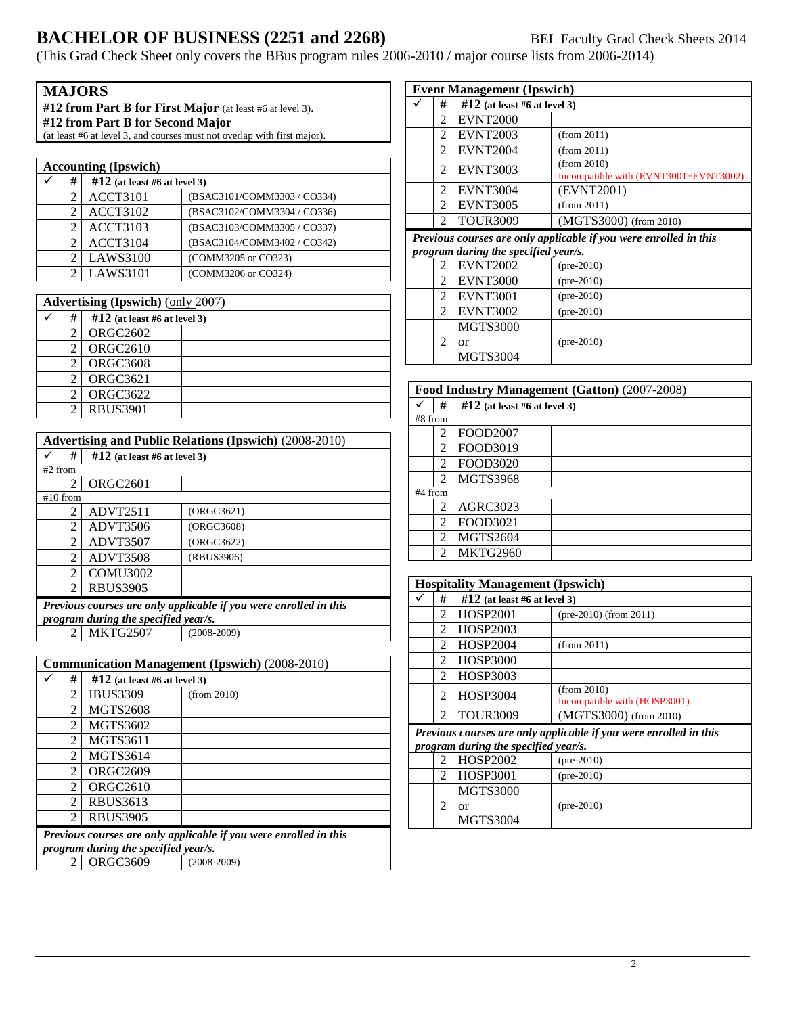# **BACHELOR OF BUSINESS (2251 and 2268)** BEL Faculty Grad Check Sheets 2014

(This Grad Check Sheet only covers the BBus program rules 2006-2010 / major course lists from 2006-2014)

|                                  |                                                                          | <b>MAJORS</b>                            |                                                                   |
|----------------------------------|--------------------------------------------------------------------------|------------------------------------------|-------------------------------------------------------------------|
|                                  |                                                                          |                                          | #12 from Part B for First Major (at least #6 at level 3).         |
| #12 from Part B for Second Major |                                                                          |                                          |                                                                   |
|                                  | (at least #6 at level 3, and courses must not overlap with first major). |                                          |                                                                   |
|                                  |                                                                          |                                          |                                                                   |
|                                  |                                                                          | <b>Accounting (Ipswich)</b>              |                                                                   |
|                                  | #                                                                        | #12 (at least #6 at level 3)             |                                                                   |
|                                  | $\overline{2}$                                                           | <b>ACCT3101</b>                          | (BSAC3101/COMM3303 / CO334)                                       |
|                                  | $\overline{c}$                                                           | <b>ACCT3102</b>                          | (BSAC3102/COMM3304 / CO336)                                       |
|                                  | $\overline{c}$                                                           | <b>ACCT3103</b>                          | (BSAC3103/COMM3305 / CO337)                                       |
|                                  | $\mathfrak{D}$                                                           | <b>ACCT3104</b>                          | (BSAC3104/COMM3402 / CO342)                                       |
|                                  | 2                                                                        | <b>LAWS3100</b>                          | (COMM3205 or CO323)                                               |
|                                  | 2                                                                        | <b>LAWS3101</b>                          | (COMM3206 or CO324)                                               |
|                                  |                                                                          |                                          |                                                                   |
|                                  |                                                                          | <b>Advertising (Ipswich) (only 2007)</b> |                                                                   |
| ✓                                | #                                                                        | $#12$ (at least #6 at level 3)           |                                                                   |
|                                  | 2                                                                        | <b>ORGC2602</b>                          |                                                                   |
|                                  | $\overline{c}$                                                           | <b>ORGC2610</b>                          |                                                                   |
|                                  | 2                                                                        | <b>ORGC3608</b>                          |                                                                   |
|                                  | $\mathfrak{D}$                                                           | <b>ORGC3621</b>                          |                                                                   |
|                                  | $\overline{2}$                                                           | <b>ORGC3622</b>                          |                                                                   |
|                                  | 2                                                                        | <b>RBUS3901</b>                          |                                                                   |
|                                  |                                                                          |                                          |                                                                   |
|                                  |                                                                          |                                          | <b>Advertising and Public Relations (Ipswich) (2008-2010)</b>     |
|                                  | #                                                                        | $\#12$ (at least #6 at level 3)          |                                                                   |
| #2 from                          |                                                                          |                                          |                                                                   |
|                                  | $\mathfrak{D}$                                                           | <b>ORGC2601</b>                          |                                                                   |
|                                  | #10 from<br>2                                                            | ADVT2511                                 | (ORGC3621)                                                        |
|                                  | 2                                                                        | ADVT3506                                 | (ORGC3608)                                                        |
|                                  | 2                                                                        | ADVT3507                                 | (ORGC3622)                                                        |
|                                  | $\mathfrak{D}$                                                           | ADVT3508                                 | (RBUS3906)                                                        |
|                                  | 2                                                                        | <b>COMU3002</b>                          |                                                                   |
|                                  | $\mathcal{D}_{\alpha}$                                                   | <b>RBUS3905</b>                          |                                                                   |
|                                  |                                                                          |                                          |                                                                   |
|                                  |                                                                          | program during the specified year/s.     | Previous courses are only applicable if you were enrolled in this |
|                                  | 2                                                                        | <b>MKTG2507</b>                          | $(2008 - 2009)$                                                   |
|                                  |                                                                          |                                          |                                                                   |
|                                  |                                                                          |                                          | <b>Communication Management (Ipswich) (2008-2010)</b>             |
|                                  |                                                                          |                                          |                                                                   |

| #                                                                 | $#12$ (at least #6 at level 3)       |                 |  |
|-------------------------------------------------------------------|--------------------------------------|-----------------|--|
| 2                                                                 | <b>IBUS3309</b>                      | (from 2010)     |  |
| 2                                                                 | <b>MGTS2608</b>                      |                 |  |
| $\mathfrak{D}$                                                    | <b>MGTS3602</b>                      |                 |  |
| 2                                                                 | <b>MGTS3611</b>                      |                 |  |
| 2                                                                 | <b>MGTS3614</b>                      |                 |  |
| 2                                                                 | <b>ORGC2609</b>                      |                 |  |
| $\mathfrak{D}$                                                    | ORGC2610                             |                 |  |
| $\mathfrak{D}$                                                    | <b>RBUS3613</b>                      |                 |  |
| $\mathfrak{D}$                                                    | <b>RBUS3905</b>                      |                 |  |
| Previous courses are only applicable if you were enrolled in this |                                      |                 |  |
|                                                                   | program during the specified year/s. |                 |  |
| $\mathcal{D}_{\mathcal{L}}$                                       | ORGC3609                             | $(2008 - 2009)$ |  |

| <b>Event Management (Ipswich)</b>                                 |                                      |                                                      |
|-------------------------------------------------------------------|--------------------------------------|------------------------------------------------------|
| #                                                                 | $\#12$ (at least #6 at level 3)      |                                                      |
| 2                                                                 | <b>EVNT2000</b>                      |                                                      |
| 2                                                                 | <b>EVNT2003</b>                      | (from 2011)                                          |
| $\overline{c}$                                                    | <b>EVNT2004</b>                      | (from 2011)                                          |
| 2                                                                 | <b>EVNT3003</b>                      | (from 2010)<br>Incompatible with (EVNT3001+EVNT3002) |
| 2                                                                 | <b>EVNT3004</b>                      | (EVNT2001)                                           |
| $\mathfrak{D}$                                                    | <b>EVNT3005</b>                      | (from 2011)                                          |
| 2                                                                 | <b>TOUR3009</b>                      | (MGTS3000) (from 2010)                               |
| Previous courses are only applicable if you were enrolled in this |                                      |                                                      |
|                                                                   | program during the specified year/s. |                                                      |
| 2                                                                 | <b>EVNT2002</b>                      | $(pre-2010)$                                         |
| 2                                                                 | <b>EVNT3000</b>                      | $(pre-2010)$                                         |
| 2                                                                 | <b>EVNT3001</b>                      | $(pre-2010)$                                         |
| $\mathcal{L}$                                                     | <b>EVNT3002</b>                      | $(pre-2010)$                                         |
|                                                                   | <b>MGTS3000</b>                      |                                                      |
| $\mathfrak{D}$                                                    | or                                   | $(pre-2010)$                                         |
|                                                                   | <b>MGTS3004</b>                      |                                                      |

|         | Food Industry Management (Gatton) (2007-2008) |                                |  |
|---------|-----------------------------------------------|--------------------------------|--|
|         | #                                             | $#12$ (at least #6 at level 3) |  |
| #8 from |                                               |                                |  |
|         | $\overline{2}$                                | <b>FOOD2007</b>                |  |
|         | 2                                             | FOOD3019                       |  |
|         | 2                                             | FOOD3020                       |  |
|         | $\mathfrak{D}$                                | <b>MGTS3968</b>                |  |
| #4 from |                                               |                                |  |
|         | 2                                             | <b>AGRC3023</b>                |  |
|         | 2                                             | FOOD3021                       |  |
|         | $\mathfrak{D}$                                | <b>MGTS2604</b>                |  |
|         | 2                                             | MKTG2960                       |  |

| <b>Hospitality Management (Ipswich)</b>                           |                                      |                                             |
|-------------------------------------------------------------------|--------------------------------------|---------------------------------------------|
| #                                                                 | $\#12$ (at least #6 at level 3)      |                                             |
| 2                                                                 | <b>HOSP2001</b>                      | $(\text{pre-2010})$ (from 2011)             |
| 2                                                                 | <b>HOSP2003</b>                      |                                             |
| 2                                                                 | HOSP2004                             | (from 2011)                                 |
| 2                                                                 | HOSP3000                             |                                             |
| 2                                                                 | HOSP3003                             |                                             |
| 2                                                                 | <b>HOSP3004</b>                      | (from 2010)<br>Incompatible with (HOSP3001) |
| 2                                                                 | <b>TOUR3009</b>                      | (MGTS3000) (from 2010)                      |
| Previous courses are only applicable if you were enrolled in this |                                      |                                             |
|                                                                   | program during the specified year/s. |                                             |
| 2                                                                 | <b>HOSP2002</b>                      | $(pre-2010)$                                |
| 2                                                                 | <b>HOSP3001</b>                      | $(pre-2010)$                                |
|                                                                   | <b>MGTS3000</b>                      |                                             |
| 2                                                                 | Ωr                                   | $(pre-2010)$                                |
|                                                                   | <b>MGTS3004</b>                      |                                             |